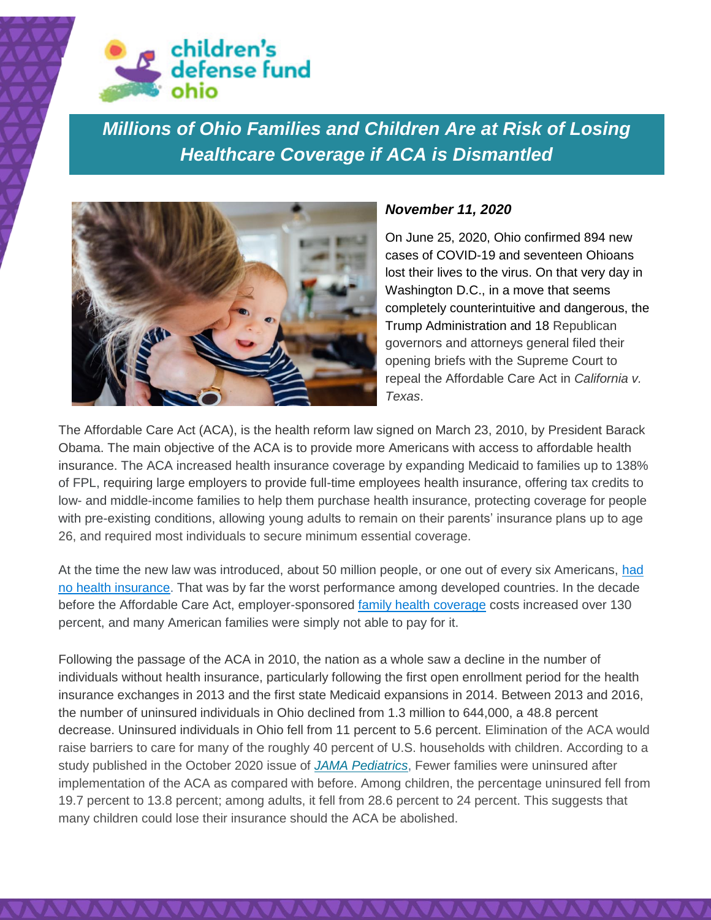

*Millions of Ohio Families and Children Are at Risk of Losing Healthcare Coverage if ACA is Dismantled*



## *November 11, 2020*

On June 25, 2020, Ohio confirmed 894 new cases of COVID-19 and seventeen Ohioans lost their lives to the virus. On that very day in Washington D.C., in a move that seems completely counterintuitive and dangerous, the Trump Administration and 18 Republican governors and attorneys general filed their opening briefs with the Supreme Court to repeal the Affordable Care Act in *California v. Texas*.

The Affordable Care Act (ACA), is the health reform law signed on March 23, 2010, by President Barack Obama. The main objective of the ACA is to provide more Americans with access to affordable health insurance. The ACA increased health insurance coverage by expanding Medicaid to families up to 138% of FPL, requiring large employers to provide full-time employees health insurance, offering tax credits to low- and middle-income families to help them purchase health insurance, protecting coverage for people with pre-existing conditions, allowing young adults to remain on their parents' insurance plans up to age 26, and required most individuals to secure minimum essential coverage.

At the time the new law was introduced, about 50 million people, or one out of every six Americans, [had](https://www.statista.com/statistics/200957/percentage-of-americans-without-health-insurance/)  [no health insurance.](https://www.statista.com/statistics/200957/percentage-of-americans-without-health-insurance/) That was by far the worst performance among developed countries. In the decade before the Affordable Care Act, employer-sponsored [family health coverage](https://www.statista.com/statistics/328875/annual-premiums-for-single-and-family-health-coverage-in-the-us/) costs increased over 130 percent, and many American families were simply not able to pay for it.

Following the passage of the ACA in 2010, the nation as a whole saw a decline in the number of individuals without health insurance, particularly following the first open enrollment period for the health insurance exchanges in 2013 and the first state Medicaid expansions in 2014. Between 2013 and 2016, the number of uninsured individuals in Ohio declined from 1.3 million to 644,000, a 48.8 percent decrease. Uninsured individuals in Ohio fell from 11 percent to 5.6 percent. Elimination of the ACA would raise barriers to care for many of the roughly 40 percent of U.S. households with children. According to a study published in the October 2020 issue of *[JAMA Pediatrics](https://jamanetwork.com/journals/jamapediatrics/fullarticle/2770803)*, Fewer families were uninsured after implementation of the ACA as compared with before. Among children, the percentage uninsured fell from 19.7 percent to 13.8 percent; among adults, it fell from 28.6 percent to 24 percent. This suggests that many children could lose their insurance should the ACA be abolished.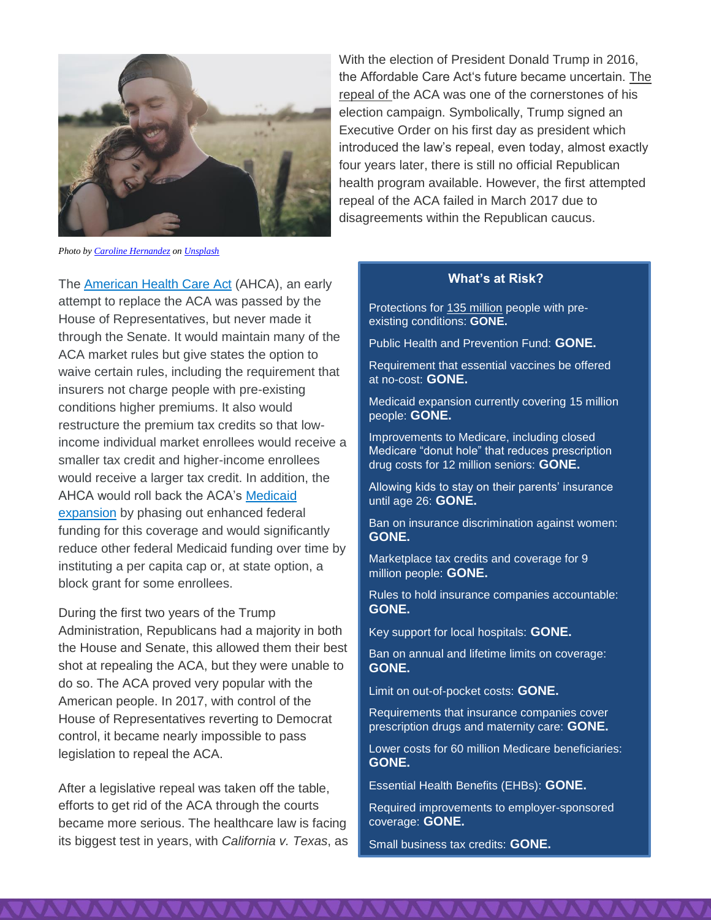

With the election of President Donald Trump in 2016, the Affordable Care Act's future became uncertain. [The](https://www.statista.com/statistics/632001/voter-turnout-of-the-exit-polls-of-the-2016-elections-by-view-on-obamacare/)  [repeal of t](https://www.statista.com/statistics/632001/voter-turnout-of-the-exit-polls-of-the-2016-elections-by-view-on-obamacare/)he ACA was one of the cornerstones of his election campaign. Symbolically, Trump signed an Executive Order on his first day as president which introduced the law's repeal, even today, almost exactly four years later, there is still no official Republican health program available. However, the first attempted repeal of the ACA failed in March 2017 due to disagreements within the Republican caucus.

*Photo b[y Caroline Hernandez](https://unsplash.com/@carolinehdz?utm_source=unsplash&utm_medium=referral&utm_content=creditCopyText) o[n Unsplash](https://unsplash.com/s/photos/family?utm_source=unsplash&utm_medium=referral&utm_content=creditCopyText)*

The [American Health Care Act](https://www.kff.org/interactive/proposals-to-replace-the-affordable-care-act/) (AHCA), an early attempt to replace the ACA was passed by the House of Representatives, but never made it through the Senate. It would maintain many of the ACA market rules but give states the option to waive certain rules, including the requirement that insurers not charge people with pre-existing conditions higher premiums. It also would restructure the premium tax credits so that lowincome individual market enrollees would receive a smaller tax credit and higher-income enrollees would receive a larger tax credit. In addition, the AHCA would roll back the ACA's [Medicaid](http://www.kff.org/medicaid/issue-brief/the-effects-of-medicaid-expansion-under-the-aca-updated-findings-from-a-literature-review/)  [expansion](http://www.kff.org/medicaid/issue-brief/the-effects-of-medicaid-expansion-under-the-aca-updated-findings-from-a-literature-review/) by phasing out enhanced federal funding for this coverage and would significantly reduce other federal Medicaid funding over time by instituting a per capita cap or, at state option, a block grant for some enrollees.

During the first two years of the Trump Administration, Republicans had a majority in both the House and Senate, this allowed them their best shot at repealing the ACA, but they were unable to do so. The ACA proved very popular with the American people. In 2017, with control of the House of Representatives reverting to Democrat control, it became nearly impossible to pass legislation to repeal the ACA.

After a legislative repeal was taken off the table, efforts to get rid of the ACA through the courts became more serious. The healthcare law is facing its biggest test in years, with *California v. Texas*, as

#### **What's at Risk?**

Protections for [135 million](https://www.americanprogress.org/issues/healthcare/news/2019/10/02/475030/number-americans-preexisting-conditions-district-116th-congress/) people with preexisting conditions: **GONE.**

Public Health and Prevention Fund: **GONE.**

Requirement that essential vaccines be offered at no-cost: **GONE.**

Medicaid expansion currently covering [15 million](https://www.kff.org/health-reform/state-indicator/medicaid-expansion-enrollment/?currentTimeframe=0&sortModel=%7B%22colId%22:%22Location%22,%22sort%22:%22asc%22%7D) people: **GONE.**

Improvements to Medicare, including closed Medicare "donut hole" that reduces prescription drug costs for 12 million seniors: **GONE.**

Allowing kids to stay on their parents' insurance until age 26: **GONE.**

Ban on insurance discrimination against women: **GONE.**

Marketplace tax credits and coverage for 9 million people: **GONE.**

Rules to hold insurance companies accountable: **GONE.**

Key support for local hospitals: **GONE.**

Ban on annual and lifetime limits on coverage: **GONE.**

Limit on out-of-pocket costs: **GONE.**

Requirements that insurance companies cover prescription drugs and maternity care: **GONE.**

Lower costs for 60 million Medicare beneficiaries: **GONE.**

Essential Health Benefits (EHBs): **GONE.**

Required improvements to employer-sponsored coverage: **GONE.**

Small business tax credits: **GONE.**